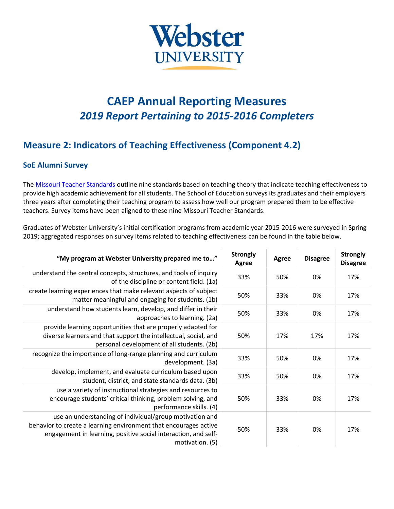

## **CAEP Annual Reporting Measures** *2019 Report Pertaining to 2015-2016 Completers*

## **Measure 2: Indicators of Teaching Effectiveness (Component 4.2)**

## **SoE Alumni Survey**

The Missouri [Teacher Standards](https://dese.mo.gov/sites/default/files/TeacherStandards.pdf) outline nine standards based on teaching theory that indicate teaching effectiveness to provide high academic achievement for all students. The School of Education surveys its graduates and their employers three years after completing their teaching program to assess how well our program prepared them to be effective teachers. Survey items have been aligned to these nine Missouri Teacher Standards.

Graduates of Webster University's initial certification programs from academic year 2015-2016 were surveyed in Spring 2019; aggregated responses on survey items related to teaching effectiveness can be found in the table below.

| "My program at Webster University prepared me to"                                                                                                                                                                | <b>Strongly</b><br>Agree | Agree | <b>Disagree</b> | <b>Strongly</b><br><b>Disagree</b> |
|------------------------------------------------------------------------------------------------------------------------------------------------------------------------------------------------------------------|--------------------------|-------|-----------------|------------------------------------|
| understand the central concepts, structures, and tools of inquiry<br>of the discipline or content field. (1a)                                                                                                    | 33%                      | 50%   | 0%              | 17%                                |
| create learning experiences that make relevant aspects of subject<br>matter meaningful and engaging for students. (1b)                                                                                           | 50%                      | 33%   | 0%              | 17%                                |
| understand how students learn, develop, and differ in their<br>approaches to learning. (2a)                                                                                                                      | 50%                      | 33%   | 0%              | 17%                                |
| provide learning opportunities that are properly adapted for<br>diverse learners and that support the intellectual, social, and<br>personal development of all students. (2b)                                    | 50%                      | 17%   | 17%             | 17%                                |
| recognize the importance of long-range planning and curriculum<br>development. (3a)                                                                                                                              | 33%                      | 50%   | 0%              | 17%                                |
| develop, implement, and evaluate curriculum based upon<br>student, district, and state standards data. (3b)                                                                                                      | 33%                      | 50%   | 0%              | 17%                                |
| use a variety of instructional strategies and resources to<br>encourage students' critical thinking, problem solving, and<br>performance skills. (4)                                                             | 50%                      | 33%   | 0%              | 17%                                |
| use an understanding of individual/group motivation and<br>behavior to create a learning environment that encourages active<br>engagement in learning, positive social interaction, and self-<br>motivation. (5) | 50%                      | 33%   | 0%              | 17%                                |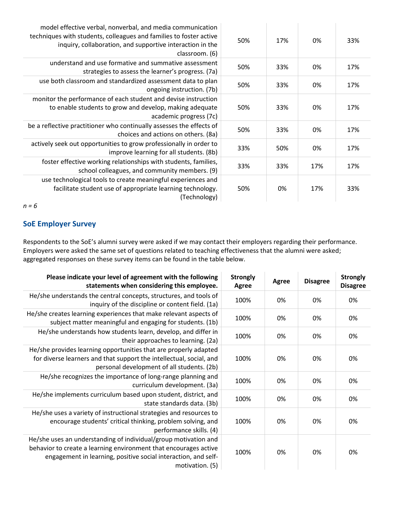| model effective verbal, nonverbal, and media communication<br>techniques with students, colleagues and families to foster active<br>inquiry, collaboration, and supportive interaction in the<br>classroom. (6) | 50% | 17% | 0%  | 33% |
|-----------------------------------------------------------------------------------------------------------------------------------------------------------------------------------------------------------------|-----|-----|-----|-----|
| understand and use formative and summative assessment<br>strategies to assess the learner's progress. (7a)                                                                                                      | 50% | 33% | 0%  | 17% |
| use both classroom and standardized assessment data to plan<br>ongoing instruction. (7b)                                                                                                                        | 50% | 33% | 0%  | 17% |
| monitor the performance of each student and devise instruction<br>to enable students to grow and develop, making adequate<br>academic progress (7c)                                                             | 50% | 33% | 0%  | 17% |
| be a reflective practitioner who continually assesses the effects of<br>choices and actions on others. (8a)                                                                                                     | 50% | 33% | 0%  | 17% |
| actively seek out opportunities to grow professionally in order to<br>improve learning for all students. (8b)                                                                                                   | 33% | 50% | 0%  | 17% |
| foster effective working relationships with students, families,<br>school colleagues, and community members. (9)                                                                                                | 33% | 33% | 17% | 17% |
| use technological tools to create meaningful experiences and<br>facilitate student use of appropriate learning technology.<br>(Technology)                                                                      | 50% | 0%  | 17% | 33% |

*n = 6*

## **SoE Employer Survey**

Respondents to the SoE's alumni survey were asked if we may contact their employers regarding their performance. Employers were asked the same set of questions related to teaching effectiveness that the alumni were asked; aggregated responses on these survey items can be found in the table below.

| Please indicate your level of agreement with the following<br>statements when considering this employee.                                                                                                                 | <b>Strongly</b><br>Agree | Agree | <b>Disagree</b> | <b>Strongly</b><br><b>Disagree</b> |
|--------------------------------------------------------------------------------------------------------------------------------------------------------------------------------------------------------------------------|--------------------------|-------|-----------------|------------------------------------|
| He/she understands the central concepts, structures, and tools of<br>inquiry of the discipline or content field. (1a)                                                                                                    | 100%                     | 0%    | 0%              | 0%                                 |
| He/she creates learning experiences that make relevant aspects of<br>subject matter meaningful and engaging for students. (1b)                                                                                           | 100%                     | 0%    | 0%              | 0%                                 |
| He/she understands how students learn, develop, and differ in<br>their approaches to learning. (2a)                                                                                                                      | 100%                     | 0%    | 0%              | 0%                                 |
| He/she provides learning opportunities that are properly adapted<br>for diverse learners and that support the intellectual, social, and<br>personal development of all students. (2b)                                    | 100%                     | 0%    | 0%              | 0%                                 |
| He/she recognizes the importance of long-range planning and<br>curriculum development. (3a)                                                                                                                              | 100%                     | 0%    | 0%              | 0%                                 |
| He/she implements curriculum based upon student, district, and<br>state standards data. (3b)                                                                                                                             | 100%                     | 0%    | 0%              | 0%                                 |
| He/she uses a variety of instructional strategies and resources to<br>encourage students' critical thinking, problem solving, and<br>performance skills. (4)                                                             | 100%                     | 0%    | 0%              | 0%                                 |
| He/she uses an understanding of individual/group motivation and<br>behavior to create a learning environment that encourages active<br>engagement in learning, positive social interaction, and self-<br>motivation. (5) | 100%                     | 0%    | 0%              | 0%                                 |